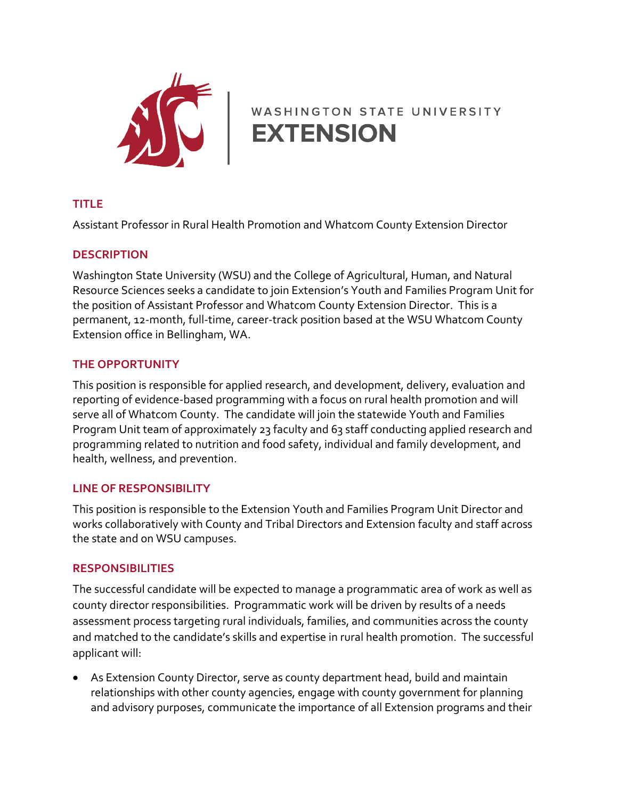

# WASHINGTON STATE UNIVERSITY

## **TITLE**

Assistant Professor in Rural Health Promotion and Whatcom County Extension Director

#### **DESCRIPTION**

Washington State University (WSU) and the College of Agricultural, Human, and Natural Resource Sciences seeks a candidate to join Extension's Youth and Families Program Unit for the position of Assistant Professor and Whatcom County Extension Director. This is a permanent, 12-month, full-time, career-track position based at the WSU Whatcom County Extension office in Bellingham, WA.

#### **THE OPPORTUNITY**

This position is responsible for applied research, and development, delivery, evaluation and reporting of evidence-based programming with a focus on rural health promotion and will serve all of Whatcom County. The candidate will join the statewide Youth and Families Program Unit team of approximately 23 faculty and 63 staff conducting applied research and programming related to nutrition and food safety, individual and family development, and health, wellness, and prevention.

#### **LINE OF RESPONSIBILITY**

This position is responsible to the Extension Youth and Families Program Unit Director and works collaboratively with County and Tribal Directors and Extension faculty and staff across the state and on WSU campuses.

#### **RESPONSIBILITIES**

The successful candidate will be expected to manage a programmatic area of work as well as county director responsibilities. Programmatic work will be driven by results of a needs assessment process targeting rural individuals, families, and communities across the county and matched to the candidate's skills and expertise in rural health promotion. The successful applicant will:

• As Extension County Director, serve as county department head, build and maintain relationships with other county agencies, engage with county government for planning and advisory purposes, communicate the importance of all Extension programs and their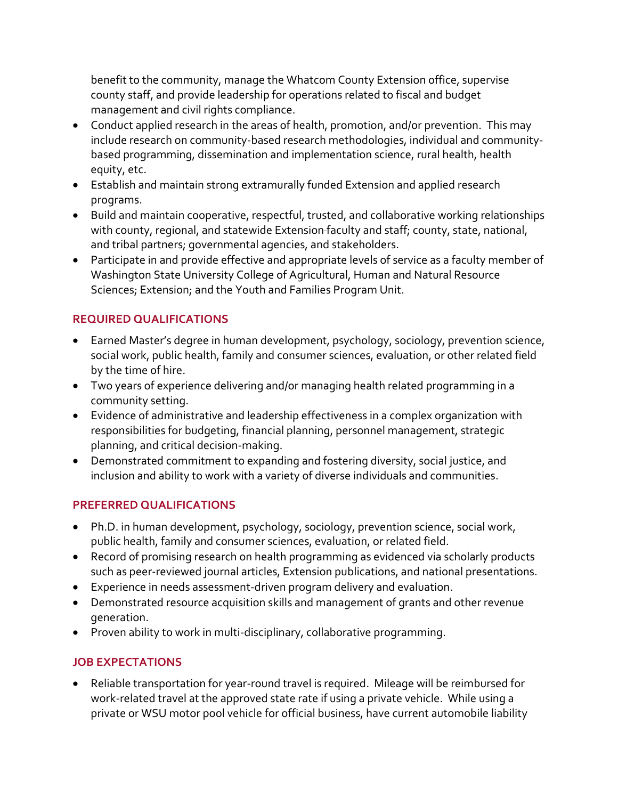benefit to the community, manage the Whatcom County Extension office, supervise county staff, and provide leadership for operations related to fiscal and budget management and civil rights compliance.

- Conduct applied research in the areas of health, promotion, and/or prevention. This may include research on community-based research methodologies, individual and communitybased programming, dissemination and implementation science, rural health, health equity, etc.
- Establish and maintain strong extramurally funded Extension and applied research programs.
- Build and maintain cooperative, respectful, trusted, and collaborative working relationships with county, regional, and statewide Extension faculty and staff; county, state, national, and tribal partners; governmental agencies, and stakeholders.
- Participate in and provide effective and appropriate levels of service as a faculty member of Washington State University College of Agricultural, Human and Natural Resource Sciences; Extension; and the Youth and Families Program Unit.

## **REQUIRED QUALIFICATIONS**

- Earned Master's degree in human development, psychology, sociology, prevention science, social work, public health, family and consumer sciences, evaluation, or other related field by the time of hire.
- Two years of experience delivering and/or managing health related programming in a community setting.
- Evidence of administrative and leadership effectiveness in a complex organization with responsibilities for budgeting, financial planning, personnel management, strategic planning, and critical decision-making.
- Demonstrated commitment to expanding and fostering diversity, social justice, and inclusion and ability to work with a variety of diverse individuals and communities.

## **PREFERRED QUALIFICATIONS**

- Ph.D. in human development, psychology, sociology, prevention science, social work, public health, family and consumer sciences, evaluation, or related field.
- Record of promising research on health programming as evidenced via scholarly products such as peer-reviewed journal articles, Extension publications, and national presentations.
- Experience in needs assessment-driven program delivery and evaluation.
- Demonstrated resource acquisition skills and management of grants and other revenue generation.
- Proven ability to work in multi-disciplinary, collaborative programming.

## **JOB EXPECTATIONS**

• Reliable transportation for year-round travel is required. Mileage will be reimbursed for work-related travel at the approved state rate if using a private vehicle. While using a private or WSU motor pool vehicle for official business, have current automobile liability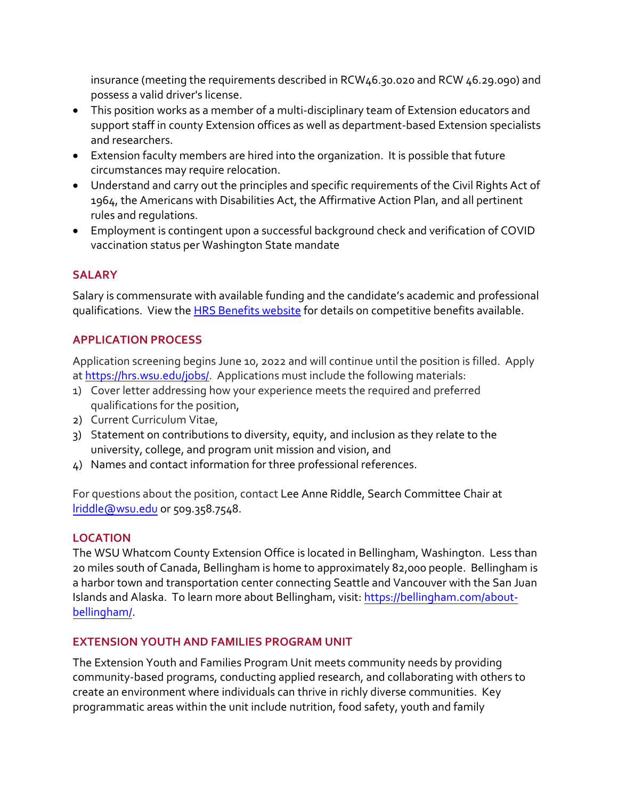insurance (meeting the requirements described in RCW46.30.020 and RCW 46.29.090) and possess a valid driver's license.

- This position works as a member of a multi-disciplinary team of Extension educators and support staff in county Extension offices as well as department-based Extension specialists and researchers.
- Extension faculty members are hired into the organization. It is possible that future circumstances may require relocation.
- Understand and carry out the principles and specific requirements of the Civil Rights Act of 1964, the Americans with Disabilities Act, the Affirmative Action Plan, and all pertinent rules and regulations.
- Employment is contingent upon a successful background check and verification of COVID vaccination status per Washington State mandate

#### **SALARY**

Salary is commensurate with available funding and the candidate's academic and professional qualifications. View the **HRS Benefits website** for details on competitive benefits available.

### **APPLICATION PROCESS**

Application screening begins June 10, 2022 and will continue until the position is filled. Apply a[t https://hrs.wsu.edu/jobs/.](https://hrs.wsu.edu/jobs/) Applications must include the following materials:

- 1) Cover letter addressing how your experience meets the required and preferred qualifications for the position,
- 2) Current Curriculum Vitae,
- 3) Statement on contributions to diversity, equity, and inclusion as they relate to the university, college, and program unit mission and vision, and
- 4) Names and contact information for three professional references.

For questions about the position, contact Lee Anne Riddle, Search Committee Chair at [lriddle@wsu.edu](mailto:lriddle@wsu.edu) or 509.358.7548.

#### **LOCATION**

The WSU Whatcom County Extension Office is located in Bellingham, Washington. Less than 20 miles south of Canada, Bellingham is home to approximately 82,000 people. Bellingham is a harbor town and transportation center connecting Seattle and Vancouver with the San Juan Islands and Alaska. To learn more about Bellingham, visit: [https://bellingham.com/about](https://bellingham.com/about-bellingham/)[bellingham/.](https://bellingham.com/about-bellingham/)

#### **EXTENSION YOUTH AND FAMILIES PROGRAM UNIT**

The Extension Youth and Families Program Unit meets community needs by providing community-based programs, conducting applied research, and collaborating with others to create an environment where individuals can thrive in richly diverse communities. Key programmatic areas within the unit include nutrition, food safety, youth and family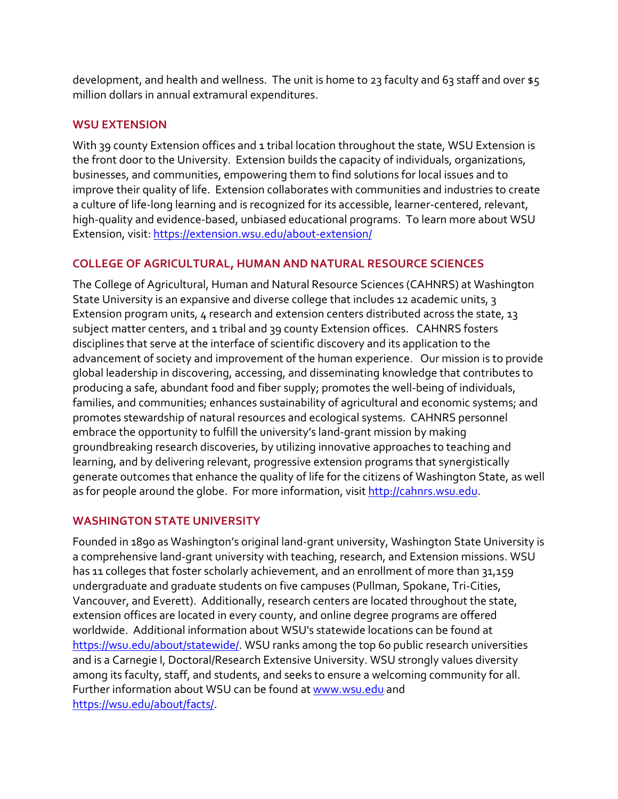development, and health and wellness. The unit is home to 23 faculty and 63 staff and over  $\frac{1}{5}$ million dollars in annual extramural expenditures.

#### **WSU EXTENSION**

With 39 county Extension offices and 1 tribal location throughout the state, WSU Extension is the front door to the University. Extension builds the capacity of individuals, organizations, businesses, and communities, empowering them to find solutions for local issues and to improve their quality of life. Extension collaborates with communities and industries to create a culture of life-long learning and is recognized for its accessible, learner-centered, relevant, high-quality and evidence-based, unbiased educational programs. To learn more about WSU Extension, visit:<https://extension.wsu.edu/about-extension/>

### **COLLEGE OF AGRICULTURAL, HUMAN AND NATURAL RESOURCE SCIENCES**

The College of Agricultural, Human and Natural Resource Sciences (CAHNRS) at Washington State University is an expansive and diverse college that includes 12 academic units, 3 Extension program units, 4 research and extension centers distributed across the state, 13 subject matter centers, and 1 tribal and 39 county Extension offices. CAHNRS fosters disciplines that serve at the interface of scientific discovery and its application to the advancement of society and improvement of the human experience. Our mission is to provide global leadership in discovering, accessing, and disseminating knowledge that contributes to producing a safe, abundant food and fiber supply; promotes the well-being of individuals, families, and communities; enhances sustainability of agricultural and economic systems; and promotes stewardship of natural resources and ecological systems. CAHNRS personnel embrace the opportunity to fulfill the university's land-grant mission by making groundbreaking research discoveries, by utilizing innovative approaches to teaching and learning, and by delivering relevant, progressive extension programs that synergistically generate outcomes that enhance the quality of life for the citizens of Washington State, as well as for people around the globe. For more information, visit [http://cahnrs.wsu.edu.](http://cahnrs.wsu.edu/)

#### **WASHINGTON STATE UNIVERSITY**

Founded in 1890 as Washington's original land-grant university, Washington State University is a comprehensive land-grant university with teaching, research, and Extension missions. WSU has 11 colleges that foster scholarly achievement, and an enrollment of more than 31,159 undergraduate and graduate students on five campuses (Pullman, Spokane, Tri-Cities, Vancouver, and Everett). Additionally, research centers are located throughout the state, extension offices are located in every county, and online degree programs are offered worldwide. Additional information about WSU's statewide locations can be found at [https://wsu.edu/about/statewide/.](https://wsu.edu/about/statewide/) WSU ranks among the top 60 public research universities and is a Carnegie I, Doctoral/Research Extensive University. WSU strongly values diversity among its faculty, staff, and students, and seeks to ensure a welcoming community for all. Further information about WSU can be found a[t www.wsu.edu a](http://www.wsu.edu/)nd [https://wsu.edu/about/facts/.](https://wsu.edu/about/facts/)